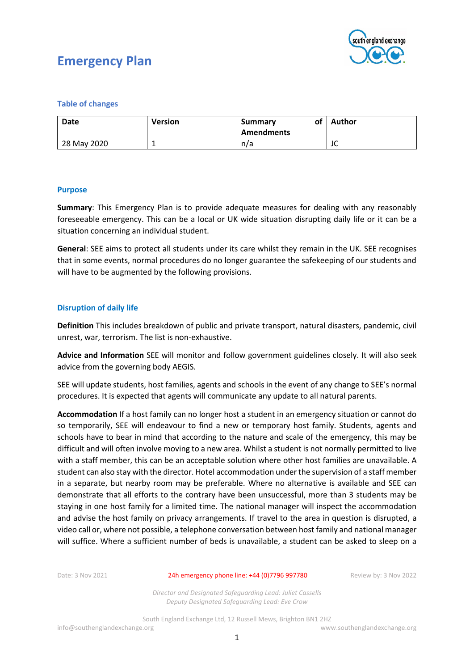

#### **Table of changes**

| Date        | <b>Version</b> | of<br>Summary<br><b>Amendments</b> | <b>Author</b> |
|-------------|----------------|------------------------------------|---------------|
| 28 May 2020 |                | n/a                                | JU            |

#### **Purpose**

**Summary**: This Emergency Plan is to provide adequate measures for dealing with any reasonably foreseeable emergency. This can be a local or UK wide situation disrupting daily life or it can be a situation concerning an individual student.

**General**: SEE aims to protect all students under its care whilst they remain in the UK. SEE recognises that in some events, normal procedures do no longer guarantee the safekeeping of our students and will have to be augmented by the following provisions.

#### **Disruption of daily life**

**Definition** This includes breakdown of public and private transport, natural disasters, pandemic, civil unrest, war, terrorism. The list is non-exhaustive.

**Advice and Information** SEE will monitor and follow government guidelines closely. It will also seek advice from the governing body AEGIS.

SEE will update students, host families, agents and schools in the event of any change to SEE's normal procedures. It is expected that agents will communicate any update to all natural parents.

**Accommodation** If a host family can no longer host a student in an emergency situation or cannot do so temporarily, SEE will endeavour to find a new or temporary host family. Students, agents and schools have to bear in mind that according to the nature and scale of the emergency, this may be difficult and will often involve moving to a new area. Whilst a student is not normally permitted to live with a staff member, this can be an acceptable solution where other host families are unavailable. A student can also stay with the director. Hotel accommodation under the supervision of a staff member in a separate, but nearby room may be preferable. Where no alternative is available and SEE can demonstrate that all efforts to the contrary have been unsuccessful, more than 3 students may be staying in one host family for a limited time. The national manager will inspect the accommodation and advise the host family on privacy arrangements. If travel to the area in question is disrupted, a video call or, where not possible, a telephone conversation between host family and national manager will suffice. Where a sufficient number of beds is unavailable, a student can be asked to sleep on a

Date: 3 Nov 2021 24h emergency phone line: +44 (0)7796 997780 Review by: 3 Nov 2022

*Director and Designated Safeguarding Lead: Juliet Cassells Deputy Designated Safeguarding Lead: Eve Crow*

South England Exchange Ltd, 12 Russell Mews, Brighton BN1 2HZ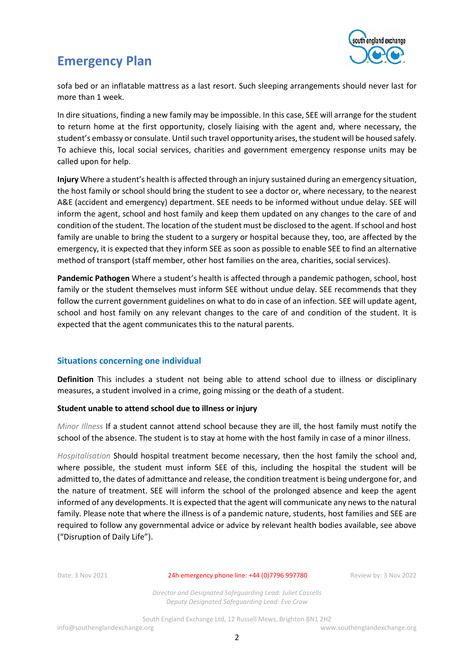

sofa bed or an inflatable mattress as a last resort. Such sleeping arrangements should never last for more than 1 week.

In dire situations, finding a new family may be impossible. In this case, SEE will arrange for the student to return home at the first opportunity, closely liaising with the agent and, where necessary, the student's embassy or consulate. Until such travel opportunity arises, the student will be housed safely. To achieve this, local social services, charities and government emergency response units may be called upon for help.

**Injury** Where a student's health is affected through an injury sustained during an emergency situation, the host family or school should bring the student to see a doctor or, where necessary, to the nearest A&E (accident and emergency) department. SEE needs to be informed without undue delay. SEE will inform the agent, school and host family and keep them updated on any changes to the care of and condition of the student. The location of the student must be disclosed to the agent. If school and host family are unable to bring the student to a surgery or hospital because they, too, are affected by the emergency, it is expected that they inform SEE as soon as possible to enable SEE to find an alternative method of transport (staff member, other host families on the area, charities, social services).

**Pandemic Pathogen** Where a student's health is affected through a pandemic pathogen, school, host family or the student themselves must inform SEE without undue delay. SEE recommends that they follow the current government guidelines on what to do in case of an infection. SEE will update agent, school and host family on any relevant changes to the care of and condition of the student. It is expected that the agent communicates this to the natural parents.

#### **Situations concerning one individual**

**Definition** This includes a student not being able to attend school due to illness or disciplinary measures, a student involved in a crime, going missing or the death of a student.

#### **Student unable to attend school due to illness or injury**

*Minor Illness* If a student cannot attend school because they are ill, the host family must notify the school of the absence. The student is to stay at home with the host family in case of a minor illness.

*Hospitalisation* Should hospital treatment become necessary, then the host family the school and, where possible, the student must inform SEE of this, including the hospital the student will be admitted to, the dates of admittance and release, the condition treatment is being undergone for, and the nature of treatment. SEE will inform the school of the prolonged absence and keep the agent informed of any developments. It is expected that the agent will communicate any news to the natural family. Please note that where the illness is of a pandemic nature, students, host families and SEE are required to follow any governmental advice or advice by relevant health bodies available, see above ("Disruption of Daily Life").

Date: 3 Nov 2021 24h emergency phone line: +44 (0)7796 997780 Review by: 3 Nov 2022

*Director and Designated Safeguarding Lead: Juliet Cassells Deputy Designated Safeguarding Lead: Eve Crow*

South England Exchange Ltd, 12 Russell Mews, Brighton BN1 2HZ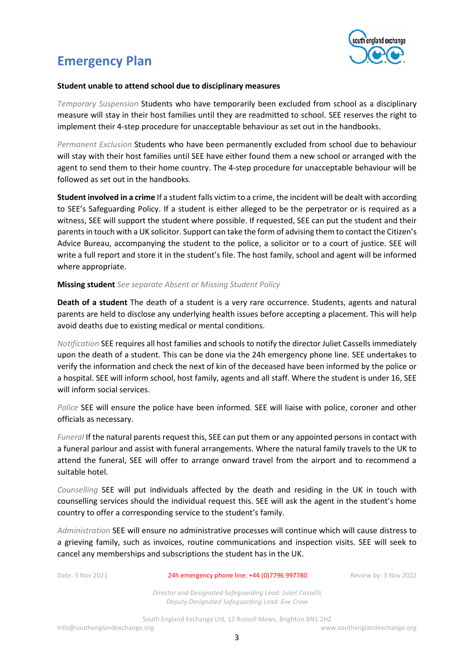

#### **Student unable to attend school due to disciplinary measures**

*Temporary Suspension* Students who have temporarily been excluded from school as a disciplinary measure will stay in their host families until they are readmitted to school. SEE reserves the right to implement their 4-step procedure for unacceptable behaviour as set out in the handbooks.

*Permanent Exclusion* Students who have been permanently excluded from school due to behaviour will stay with their host families until SEE have either found them a new school or arranged with the agent to send them to their home country. The 4-step procedure for unacceptable behaviour will be followed as set out in the handbooks.

**Student involved in a crime** If a student falls victim to a crime, the incident will be dealt with according to SEE's Safeguarding Policy. If a student is either alleged to be the perpetrator or is required as a witness, SEE will support the student where possible. If requested, SEE can put the student and their parents in touch with a UK solicitor. Support can take the form of advising them to contact the Citizen's Advice Bureau, accompanying the student to the police, a solicitor or to a court of justice. SEE will write a full report and store it in the student's file. The host family, school and agent will be informed where appropriate.

#### **Missing student** *See separate Absent or Missing Student Policy*

**Death of a student** The death of a student is a very rare occurrence. Students, agents and natural parents are held to disclose any underlying health issues before accepting a placement. This will help avoid deaths due to existing medical or mental conditions.

*Notification* SEE requires all host families and schools to notify the director Juliet Cassells immediately upon the death of a student. This can be done via the 24h emergency phone line. SEE undertakes to verify the information and check the next of kin of the deceased have been informed by the police or a hospital. SEE will inform school, host family, agents and all staff. Where the student is under 16, SEE will inform social services.

*Police* SEE will ensure the police have been informed. SEE will liaise with police, coroner and other officials as necessary.

*Funeral* If the natural parents request this, SEE can put them or any appointed persons in contact with a funeral parlour and assist with funeral arrangements. Where the natural family travels to the UK to attend the funeral, SEE will offer to arrange onward travel from the airport and to recommend a suitable hotel.

*Counselling* SEE will put individuals affected by the death and residing in the UK in touch with counselling services should the individual request this. SEE will ask the agent in the student's home country to offer a corresponding service to the student's family.

*Administration* SEE will ensure no administrative processes will continue which will cause distress to a grieving family, such as invoices, routine communications and inspection visits. SEE will seek to cancel any memberships and subscriptions the student has in the UK.

Date: 3 Nov 2021 24h emergency phone line: +44 (0)7796 997780 Review by: 3 Nov 2022

*Director and Designated Safeguarding Lead: Juliet Cassells Deputy Designated Safeguarding Lead: Eve Crow*

South England Exchange Ltd, 12 Russell Mews, Brighton BN1 2HZ